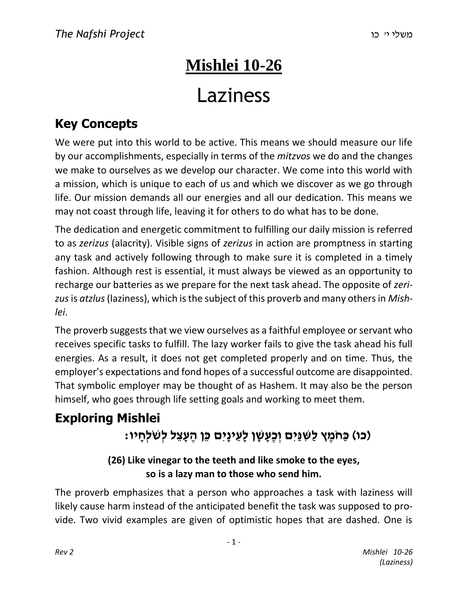# **Mishlei 10-26** Laziness

## **Key Concepts**

We were put into this world to be active. This means we should measure our life by our accomplishments, especially in terms of the *mitzvos* we do and the changes we make to ourselves as we develop our character. We come into this world with a mission, which is unique to each of us and which we discover as we go through life. Our mission demands all our energies and all our dedication. This means we may not coast through life, leaving it for others to do what has to be done.

The dedication and energetic commitment to fulfilling our daily mission is referred to as *zerizus* (alacrity). Visible signs of *zerizus* in action are promptness in starting any task and actively following through to make sure it is completed in a timely fashion. Although rest is essential, it must always be viewed as an opportunity to recharge our batteries as we prepare for the next task ahead. The opposite of *zerizus*is *atzlus*(laziness), which is the subject of this proverb and many others in *Mishlei*.

The proverb suggests that we view ourselves as a faithful employee or servant who receives specific tasks to fulfill. The lazy worker fails to give the task ahead his full energies. As a result, it does not get completed properly and on time. Thus, the employer's expectations and fond hopes of a successful outcome are disappointed. That symbolic employer may be thought of as Hashem. It may also be the person himself, who goes through life setting goals and working to meet them.

## **Exploring Mishlei )כו( כַּחֹמֶ ץ לַשִּׁ נַּיִם וְ כֶעָ שָׁ ן לָעֵ ינָיִם כֵּן הֶ עָ צֵ ל לְשֹׁלְחָ יו:**

### **(26) Like vinegar to the teeth and like smoke to the eyes, so is a lazy man to those who send him.**

The proverb emphasizes that a person who approaches a task with laziness will likely cause harm instead of the anticipated benefit the task was supposed to provide. Two vivid examples are given of optimistic hopes that are dashed. One is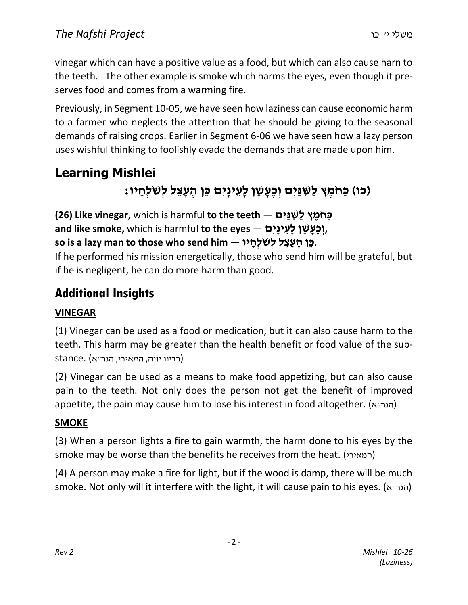vinegar which can have a positive value as a food, but which can also cause harn to the teeth. The other example is smoke which harms the eyes, even though it preserves food and comes from a warming fire.

Previously, in Segment 10-05, we have seen how laziness can cause economic harm to a farmer who neglects the attention that he should be giving to the seasonal demands of raising crops. Earlier in Segment 6-06 we have seen how a lazy person uses wishful thinking to foolishly evade the demands that are made upon him.

## **Learning Mishlei )כו( כַּחֹמֶ ץ לַשִּׁ נַּיִם וְ כֶעָ שָׁ ן לָעֵ ינָיִם כֵּן הֶ עָ צֵ ל לְשֹׁלְחָ יו:**

**CE**) **Like vinegar,** which is harmful to the teeth  $-$  **לְשִׁיִּים וְכֵעֲשֶׁן לַעֱינַיִם, — and like smoke,** which is harmful **to the eyes c** is a lazy man to those who send him — בֵּן הֵעָצֵל לְשֹׁלְחָיוּ.

If he performed his mission energetically, those who send him will be grateful, but if he is negligent, he can do more harm than good.

### **Additional Insights**

### **VINEGAR**

(1) Vinegar can be used as a food or medication, but it can also cause harm to the teeth. This harm may be greater than the health benefit or food value of the substance. (רבינו יונה, המאירי, הגר״א)

(2) Vinegar can be used as a means to make food appetizing, but can also cause pain to the teeth. Not only does the person not get the benefit of improved appetite, the pain may cause him to lose his interest in food altogether. (הגר״א)

### **SMOKE**

(3) When a person lights a fire to gain warmth, the harm done to his eyes by the smoke may be worse than the benefits he receives from the heat. (המאירי(

(4) A person may make a fire for light, but if the wood is damp, there will be much smoke. Not only will it interfere with the light, it will cause pain to his eyes. (הגר״א)